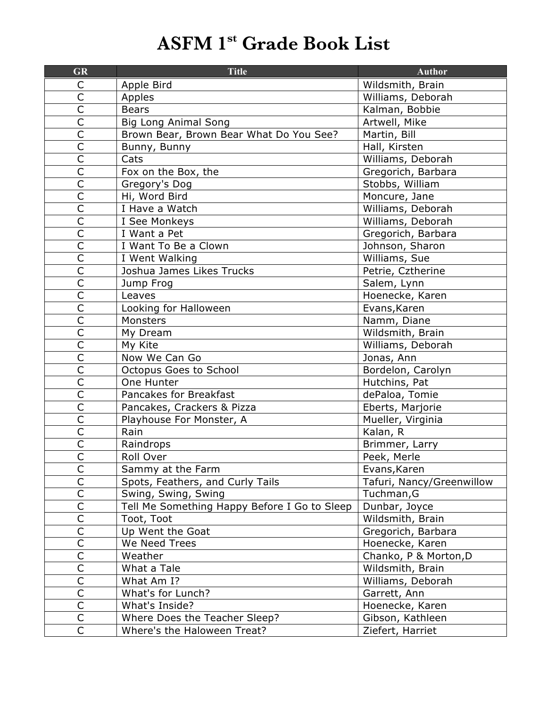## **ASFM 1st Grade Book List**

| <b>GR</b>                          | <b>Title</b>                                 | <b>Author</b>             |
|------------------------------------|----------------------------------------------|---------------------------|
| С                                  | Apple Bird                                   | Wildsmith, Brain          |
| $\overline{C}$                     | Apples                                       | Williams, Deborah         |
| $\overline{\mathsf{C}}$            | <b>Bears</b>                                 | Kalman, Bobbie            |
| $\overline{C}$                     | <b>Big Long Animal Song</b>                  | Artwell, Mike             |
| $\overline{\mathsf{C}}$            | Brown Bear, Brown Bear What Do You See?      | Martin, Bill              |
| $\overline{\overline{\mathsf{C}}}$ | Bunny, Bunny                                 | Hall, Kirsten             |
| $\overline{C}$                     | Cats                                         | Williams, Deborah         |
| $\overline{\mathsf{C}}$            | Fox on the Box, the                          | Gregorich, Barbara        |
| $\mathsf{C}$                       | Gregory's Dog                                | Stobbs, William           |
| $\overline{\mathsf{C}}$            | Hi, Word Bird                                | Moncure, Jane             |
| $\overline{\mathsf{C}}$            | I Have a Watch                               | Williams, Deborah         |
| $\overline{C}$                     | I See Monkeys                                | Williams, Deborah         |
| $\overline{C}$                     | I Want a Pet                                 | Gregorich, Barbara        |
| $\overline{\mathsf{C}}$            | I Want To Be a Clown                         | Johnson, Sharon           |
| $\overline{\mathsf{C}}$            | I Went Walking                               | Williams, Sue             |
| $\overline{\mathsf{C}}$            | Joshua James Likes Trucks                    | Petrie, Cztherine         |
| $\mathsf{C}$                       | Jump Frog                                    | Salem, Lynn               |
| $\overline{\mathsf{C}}$            | Leaves                                       | Hoenecke, Karen           |
| $\overline{C}$                     | Looking for Halloween                        | Evans, Karen              |
| $\overline{\mathsf{C}}$            | Monsters                                     | Namm, Diane               |
| $\overline{\mathsf{C}}$            | My Dream                                     | Wildsmith, Brain          |
| $\overline{\mathsf{C}}$            | My Kite                                      | Williams, Deborah         |
| $\overline{C}$                     | Now We Can Go                                | Jonas, Ann                |
| $\overline{\mathsf{C}}$            | Octopus Goes to School                       | Bordelon, Carolyn         |
| $\overline{C}$                     | One Hunter                                   | Hutchins, Pat             |
| $\overline{\mathsf{C}}$            | Pancakes for Breakfast                       | dePaloa, Tomie            |
| $\overline{\mathsf{C}}$            | Pancakes, Crackers & Pizza                   | Eberts, Marjorie          |
| $\overline{C}$                     | Playhouse For Monster, A                     | Mueller, Virginia         |
| $\overline{\mathsf{C}}$            | Rain                                         | Kalan, R                  |
| $\overline{\mathsf{C}}$            | Raindrops                                    | Brimmer, Larry            |
| $\overline{\mathsf{C}}$            | Roll Over                                    | Peek, Merle               |
| C                                  | Sammy at the Farm                            | Evans, Karen              |
| $\overline{\mathsf{C}}$            | Spots, Feathers, and Curly Tails             | Tafuri, Nancy/Greenwillow |
| $\overline{\mathsf{C}}$            | Swing, Swing, Swing                          | Tuchman, G                |
| $\overline{\mathsf{C}}$            | Tell Me Something Happy Before I Go to Sleep | Dunbar, Joyce             |
| $\overline{\mathsf{C}}$            | Toot, Toot                                   | Wildsmith, Brain          |
| $\overline{C}$                     | Up Went the Goat                             | Gregorich, Barbara        |
| $\mathsf C$                        | We Need Trees                                | Hoenecke, Karen           |
| $\overline{C}$                     | Weather                                      | Chanko, P & Morton, D     |
| $\overline{\mathsf{C}}$            | What a Tale                                  | Wildsmith, Brain          |
| $\mathsf{C}$                       | What Am I?                                   | Williams, Deborah         |
| $\overline{\mathsf{C}}$            | What's for Lunch?                            | Garrett, Ann              |
| $\overline{\mathsf{C}}$            | What's Inside?                               | Hoenecke, Karen           |
| $\overline{C}$                     | Where Does the Teacher Sleep?                | Gibson, Kathleen          |
| $\mathsf C$                        | Where's the Haloween Treat?                  | Ziefert, Harriet          |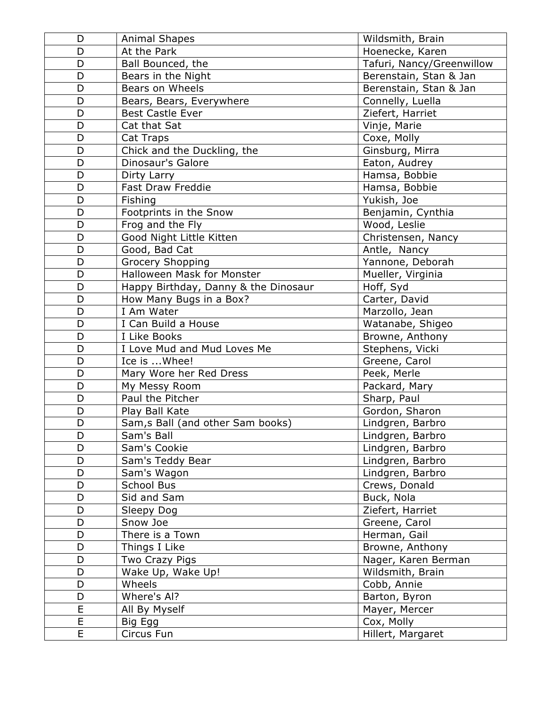| D              | <b>Animal Shapes</b>                 | Wildsmith, Brain          |
|----------------|--------------------------------------|---------------------------|
| D              | At the Park                          | Hoenecke, Karen           |
| D              | Ball Bounced, the                    | Tafuri, Nancy/Greenwillow |
| D              | Bears in the Night                   | Berenstain, Stan & Jan    |
| D              | Bears on Wheels                      | Berenstain, Stan & Jan    |
| D              | Bears, Bears, Everywhere             | Connelly, Luella          |
| D              | <b>Best Castle Ever</b>              | Ziefert, Harriet          |
| D              | Cat that Sat                         | Vinje, Marie              |
| D              | Cat Traps                            | Coxe, Molly               |
| D              | Chick and the Duckling, the          | Ginsburg, Mirra           |
| D              | Dinosaur's Galore                    | Eaton, Audrey             |
| D              | Dirty Larry                          | Hamsa, Bobbie             |
| D              | Fast Draw Freddie                    | Hamsa, Bobbie             |
| D              | Fishing                              | Yukish, Joe               |
| D              | Footprints in the Snow               | Benjamin, Cynthia         |
| D              | Frog and the Fly                     | Wood, Leslie              |
| D              | Good Night Little Kitten             | Christensen, Nancy        |
| D              | Good, Bad Cat                        | Antle, Nancy              |
| D              | Grocery Shopping                     | Yannone, Deborah          |
| D              | Halloween Mask for Monster           | Mueller, Virginia         |
| D              | Happy Birthday, Danny & the Dinosaur | Hoff, Syd                 |
| D              | How Many Bugs in a Box?              | Carter, David             |
| D              | I Am Water                           | Marzollo, Jean            |
| D              | I Can Build a House                  | Watanabe, Shigeo          |
| D              | I Like Books                         | Browne, Anthony           |
| D              | I Love Mud and Mud Loves Me          | Stephens, Vicki           |
| D              | Ice is  Whee!                        | Greene, Carol             |
| D              | Mary Wore her Red Dress              | Peek, Merle               |
| D              | My Messy Room                        | Packard, Mary             |
| D              | Paul the Pitcher                     | Sharp, Paul               |
| D              | Play Ball Kate                       | Gordon, Sharon            |
| D              | Sam, s Ball (and other Sam books)    | Lindgren, Barbro          |
| D              | Sam's Ball                           | Lindgren, Barbro          |
| D              | Sam's Cookie                         | Lindgren, Barbro          |
| D              | Sam's Teddy Bear                     | Lindgren, Barbro          |
| D              | Sam's Wagon                          | Lindgren, Barbro          |
| D              | School Bus                           | Crews, Donald             |
| D              | Sid and Sam                          | Buck, Nola                |
| D              | Sleepy Dog                           | Ziefert, Harriet          |
| D              | Snow Joe                             | Greene, Carol             |
| D              | There is a Town                      | Herman, Gail              |
| D              | Things I Like                        | Browne, Anthony           |
| D              | Two Crazy Pigs                       | Nager, Karen Berman       |
| D              | Wake Up, Wake Up!                    | Wildsmith, Brain          |
| D              | Wheels                               | Cobb, Annie               |
| D              | Where's Al?                          | Barton, Byron             |
| $\overline{E}$ | All By Myself                        | Mayer, Mercer             |
| E              | Big Egg                              | Cox, Molly                |
| E              | Circus Fun                           | Hillert, Margaret         |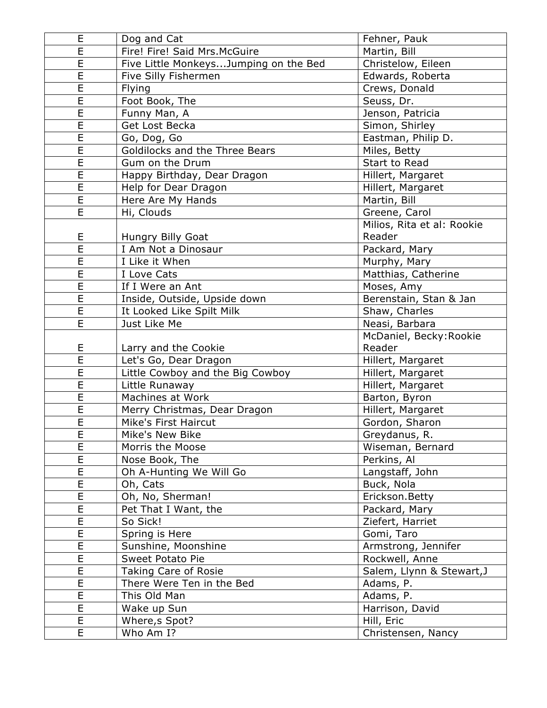| E                       | Dog and Cat                           | Fehner, Pauk                     |
|-------------------------|---------------------------------------|----------------------------------|
| E                       | Fire! Fire! Said Mrs. McGuire         | Martin, Bill                     |
| $\overline{E}$          | Five Little MonkeysJumping on the Bed | Christelow, Eileen               |
| E                       | Five Silly Fishermen                  | Edwards, Roberta                 |
| $\overline{\mathsf{E}}$ | <b>Flying</b>                         | Crews, Donald                    |
| E                       | Foot Book, The                        | Seuss, Dr.                       |
| E                       | Funny Man, A                          | Jenson, Patricia                 |
| E                       | Get Lost Becka                        | Simon, Shirley                   |
| $\overline{E}$          | Go, Dog, Go                           | Eastman, Philip D.               |
| E                       | Goldilocks and the Three Bears        | Miles, Betty                     |
| E                       | Gum on the Drum                       | Start to Read                    |
| E                       | Happy Birthday, Dear Dragon           | Hillert, Margaret                |
| $\overline{\mathsf{E}}$ | Help for Dear Dragon                  | Hillert, Margaret                |
| E                       | Here Are My Hands                     | Martin, Bill                     |
| E                       | Hi, Clouds                            | Greene, Carol                    |
|                         |                                       | Milios, Rita et al: Rookie       |
| E                       | Hungry Billy Goat                     | Reader                           |
| E                       | I Am Not a Dinosaur                   | Packard, Mary                    |
| E                       | I Like it When                        | Murphy, Mary                     |
| E                       | I Love Cats                           | Matthias, Catherine              |
| E                       | If I Were an Ant                      | Moses, Amy                       |
| E                       | Inside, Outside, Upside down          | Berenstain, Stan & Jan           |
| $\overline{E}$          | It Looked Like Spilt Milk             | Shaw, Charles                    |
| E                       | Just Like Me                          | Neasi, Barbara                   |
|                         |                                       | McDaniel, Becky: Rookie          |
| E                       | Larry and the Cookie                  | Reader                           |
| E                       | Let's Go, Dear Dragon                 | Hillert, Margaret                |
| $\overline{\mathsf{E}}$ | Little Cowboy and the Big Cowboy      | Hillert, Margaret                |
| E                       | Little Runaway                        | Hillert, Margaret                |
| E                       | Machines at Work                      | Barton, Byron                    |
| E                       | Merry Christmas, Dear Dragon          | Hillert, Margaret                |
| $\overline{E}$          | Mike's First Haircut                  | Gordon, Sharon                   |
| E                       | Mike's New Bike                       | Greydanus, R.                    |
| E                       | Morris the Moose                      | Wiseman, Bernard                 |
| E                       | Nose Book, The                        | Perkins, Al                      |
| $\overline{E}$          | Oh A-Hunting We Will Go               | Langstaff, John                  |
| E                       | Oh, Cats                              | Buck, Nola                       |
| E                       | Oh, No, Sherman!                      | Erickson. Betty                  |
| E                       | Pet That I Want, the                  | Packard, Mary                    |
| E                       | So Sick!                              | Ziefert, Harriet                 |
| E                       | Spring is Here                        | Gomi, Taro                       |
| E                       | Sunshine, Moonshine                   | Armstrong, Jennifer              |
| E                       | Sweet Potato Pie                      | Rockwell, Anne                   |
| $\overline{E}$          | Taking Care of Rosie                  | Salem, Llynn & Stewart, J        |
| E                       | There Were Ten in the Bed             | Adams, P.                        |
| E                       |                                       |                                  |
|                         |                                       |                                  |
|                         | This Old Man                          | Adams, P.                        |
| E                       | Wake up Sun                           | Harrison, David                  |
| $\overline{E}$<br>E     | Where, s Spot?<br>Who Am I?           | Hill, Eric<br>Christensen, Nancy |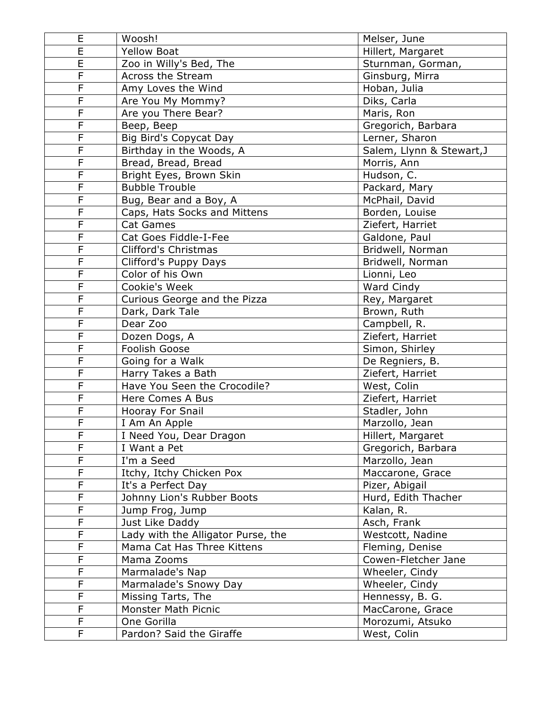| E                       | Woosh!                             | Melser, June              |
|-------------------------|------------------------------------|---------------------------|
| $\overline{\mathsf{E}}$ | <b>Yellow Boat</b>                 | Hillert, Margaret         |
| E                       | Zoo in Willy's Bed, The            | Sturnman, Gorman,         |
| F                       | Across the Stream                  | Ginsburg, Mirra           |
| F                       | Amy Loves the Wind                 | Hoban, Julia              |
| F                       | Are You My Mommy?                  | Diks, Carla               |
| F                       | Are you There Bear?                | Maris, Ron                |
| F                       | Beep, Beep                         | Gregorich, Barbara        |
| F                       | Big Bird's Copycat Day             | Lerner, Sharon            |
| F                       | Birthday in the Woods, A           | Salem, Llynn & Stewart, J |
| F                       | Bread, Bread, Bread                | Morris, Ann               |
| F                       | Bright Eyes, Brown Skin            | Hudson, C.                |
| F                       | <b>Bubble Trouble</b>              | Packard, Mary             |
| F                       | Bug, Bear and a Boy, A             | McPhail, David            |
| F                       | Caps, Hats Socks and Mittens       | Borden, Louise            |
| F                       | Cat Games                          | Ziefert, Harriet          |
| F                       | Cat Goes Fiddle-I-Fee              | Galdone, Paul             |
| $\overline{\mathsf{F}}$ | Clifford's Christmas               | Bridwell, Norman          |
| F                       | Clifford's Puppy Days              | Bridwell, Norman          |
| F                       | Color of his Own                   | Lionni, Leo               |
| F                       | Cookie's Week                      | Ward Cindy                |
| F                       | Curious George and the Pizza       | Rey, Margaret             |
| F                       | Dark, Dark Tale                    | Brown, Ruth               |
| F                       | Dear Zoo                           | Campbell, R.              |
| F                       | Dozen Dogs, A                      | Ziefert, Harriet          |
| F                       | Foolish Goose                      | Simon, Shirley            |
| F                       | Going for a Walk                   | De Regniers, B.           |
| F                       | Harry Takes a Bath                 | Ziefert, Harriet          |
| F                       | Have You Seen the Crocodile?       | West, Colin               |
| F                       | Here Comes A Bus                   | Ziefert, Harriet          |
| F                       | Hooray For Snail                   | Stadler, John             |
| F                       | I Am An Apple                      | Marzollo, Jean            |
| F                       | I Need You, Dear Dragon            | Hillert, Margaret         |
| F                       | I Want a Pet                       | Gregorich, Barbara        |
| F                       | I'm a Seed                         | Marzollo, Jean            |
| F                       | Itchy, Itchy Chicken Pox           | Maccarone, Grace          |
| F                       | It's a Perfect Day                 | Pizer, Abigail            |
| F                       | Johnny Lion's Rubber Boots         | Hurd, Edith Thacher       |
| F                       | Jump Frog, Jump                    | Kalan, R.                 |
| F                       | Just Like Daddy                    | Asch, Frank               |
| F                       | Lady with the Alligator Purse, the | Westcott, Nadine          |
| F                       | Mama Cat Has Three Kittens         | Fleming, Denise           |
| F                       | Mama Zooms                         | Cowen-Fletcher Jane       |
| F                       | Marmalade's Nap                    | Wheeler, Cindy            |
| F                       | Marmalade's Snowy Day              | Wheeler, Cindy            |
| F                       | Missing Tarts, The                 | Hennessy, B. G.           |
| F                       | Monster Math Picnic                | MacCarone, Grace          |
| F                       | One Gorilla                        | Morozumi, Atsuko          |
| F                       | Pardon? Said the Giraffe           | West, Colin               |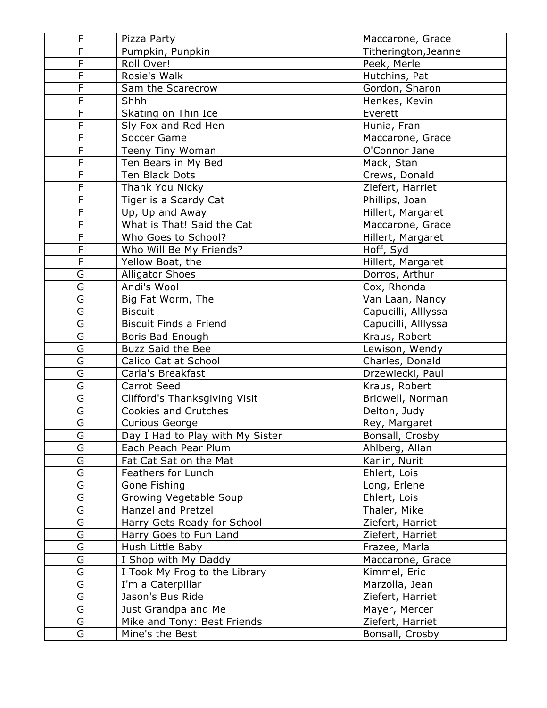| F                       | Pizza Party                      | Maccarone, Grace     |
|-------------------------|----------------------------------|----------------------|
| $\overline{\mathsf{F}}$ | Pumpkin, Punpkin                 | Titherington, Jeanne |
| F                       | Roll Over!                       | Peek, Merle          |
| F                       | Rosie's Walk                     | Hutchins, Pat        |
| F                       | Sam the Scarecrow                | Gordon, Sharon       |
| F                       | Shhh                             | Henkes, Kevin        |
| F                       | Skating on Thin Ice              | Everett              |
| F                       | Sly Fox and Red Hen              | Hunia, Fran          |
| F                       | Soccer Game                      | Maccarone, Grace     |
| $\overline{F}$          | Teeny Tiny Woman                 | O'Connor Jane        |
| F                       | Ten Bears in My Bed              | Mack, Stan           |
| F                       | Ten Black Dots                   | Crews, Donald        |
| F                       | Thank You Nicky                  | Ziefert, Harriet     |
| F                       | Tiger is a Scardy Cat            | Phillips, Joan       |
| F                       | Up, Up and Away                  | Hillert, Margaret    |
| F                       | What is That! Said the Cat       | Maccarone, Grace     |
| F                       | Who Goes to School?              | Hillert, Margaret    |
| $\overline{\mathsf{F}}$ | Who Will Be My Friends?          | Hoff, Syd            |
| F                       | Yellow Boat, the                 | Hillert, Margaret    |
| G                       | <b>Alligator Shoes</b>           | Dorros, Arthur       |
| G                       | Andi's Wool                      | Cox, Rhonda          |
| G                       | Big Fat Worm, The                | Van Laan, Nancy      |
| G                       | <b>Biscuit</b>                   | Capucilli, Alllyssa  |
| G                       | <b>Biscuit Finds a Friend</b>    | Capucilli, Alllyssa  |
| G                       | Boris Bad Enough                 | Kraus, Robert        |
| G                       | <b>Buzz Said the Bee</b>         | Lewison, Wendy       |
| G                       | Calico Cat at School             | Charles, Donald      |
| G                       | Carla's Breakfast                | Drzewiecki, Paul     |
| G                       | <b>Carrot Seed</b>               | Kraus, Robert        |
| G                       | Clifford's Thanksgiving Visit    | Bridwell, Norman     |
| G                       | <b>Cookies and Crutches</b>      | Delton, Judy         |
| G                       | <b>Curious George</b>            | Rey, Margaret        |
| G                       | Day I Had to Play with My Sister | Bonsall, Crosby      |
| $\overline{\mathsf{G}}$ | Each Peach Pear Plum             | Ahlberg, Allan       |
| G                       | Fat Cat Sat on the Mat           | Karlin, Nurit        |
| G                       | Feathers for Lunch               | Ehlert, Lois         |
| G                       | Gone Fishing                     | Long, Erlene         |
| G                       | Growing Vegetable Soup           | Ehlert, Lois         |
| G                       | Hanzel and Pretzel               | Thaler, Mike         |
| G                       | Harry Gets Ready for School      | Ziefert, Harriet     |
| G                       | Harry Goes to Fun Land           | Ziefert, Harriet     |
| G                       | Hush Little Baby                 | Frazee, Marla        |
| G                       | I Shop with My Daddy             | Maccarone, Grace     |
| G                       | I Took My Frog to the Library    | Kimmel, Eric         |
| G                       | I'm a Caterpillar                | Marzolla, Jean       |
| G                       | Jason's Bus Ride                 | Ziefert, Harriet     |
| G                       | Just Grandpa and Me              | Mayer, Mercer        |
| G                       | Mike and Tony: Best Friends      | Ziefert, Harriet     |
| G                       | Mine's the Best                  | Bonsall, Crosby      |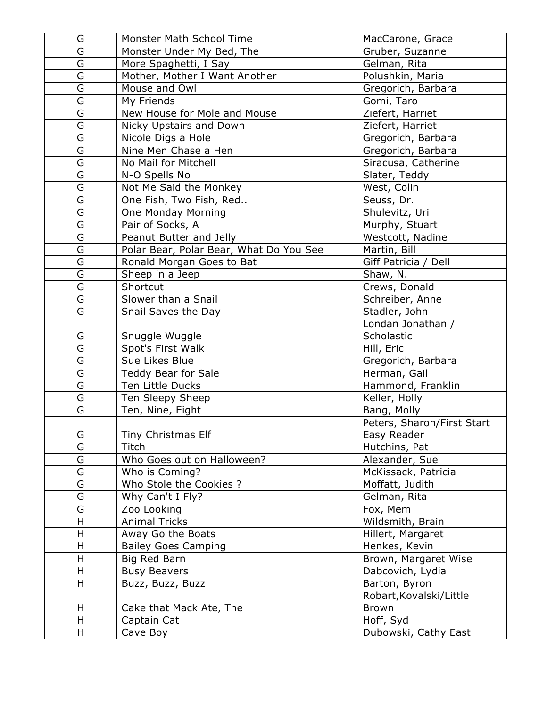| G                       | Monster Math School Time                | MacCarone, Grace           |
|-------------------------|-----------------------------------------|----------------------------|
| $\overline{\mathsf{G}}$ | Monster Under My Bed, The               | Gruber, Suzanne            |
| G                       | More Spaghetti, I Say                   | Gelman, Rita               |
| G                       | Mother, Mother I Want Another           | Polushkin, Maria           |
| G                       | Mouse and Owl                           | Gregorich, Barbara         |
| G                       | My Friends                              | Gomi, Taro                 |
| G                       | New House for Mole and Mouse            | Ziefert, Harriet           |
| G                       | Nicky Upstairs and Down                 | Ziefert, Harriet           |
| G                       | Nicole Digs a Hole                      | Gregorich, Barbara         |
| $\overline{\mathsf{G}}$ | Nine Men Chase a Hen                    | Gregorich, Barbara         |
| G                       | No Mail for Mitchell                    | Siracusa, Catherine        |
| G                       | N-O Spells No                           | Slater, Teddy              |
| G                       | Not Me Said the Monkey                  | West, Colin                |
| G                       | One Fish, Two Fish, Red                 | Seuss, Dr.                 |
| G                       | <b>One Monday Morning</b>               | Shulevitz, Uri             |
| G                       | Pair of Socks, A                        | Murphy, Stuart             |
| G                       | Peanut Butter and Jelly                 | Westcott, Nadine           |
| $\overline{\mathsf{G}}$ | Polar Bear, Polar Bear, What Do You See | Martin, Bill               |
| G                       | Ronald Morgan Goes to Bat               | Giff Patricia / Dell       |
| G                       | Sheep in a Jeep                         | Shaw, N.                   |
| G                       | Shortcut                                | Crews, Donald              |
| G                       | Slower than a Snail                     | Schreiber, Anne            |
| G                       | Snail Saves the Day                     | Stadler, John              |
|                         |                                         | Londan Jonathan /          |
| G                       | Snuggle Wuggle                          | Scholastic                 |
| G                       | Spot's First Walk                       | Hill, Eric                 |
| G                       | Sue Likes Blue                          | Gregorich, Barbara         |
| G                       | Teddy Bear for Sale                     | Herman, Gail               |
| G                       | Ten Little Ducks                        | Hammond, Franklin          |
| G                       | Ten Sleepy Sheep                        | Keller, Holly              |
| G                       | Ten, Nine, Eight                        | Bang, Molly                |
|                         |                                         | Peters, Sharon/First Start |
| G                       | Tiny Christmas Elf                      | Easy Reader                |
| G                       | Titch                                   | Hutchins, Pat              |
| G                       | Who Goes out on Halloween?              | Alexander, Sue             |
| G                       | Who is Coming?                          | McKissack, Patricia        |
| G                       | Who Stole the Cookies ?                 | Moffatt, Judith            |
| G                       | Why Can't I Fly?                        | Gelman, Rita               |
| G                       | Zoo Looking                             | Fox, Mem                   |
| H                       | <b>Animal Tricks</b>                    | Wildsmith, Brain           |
| H                       | Away Go the Boats                       | Hillert, Margaret          |
| Н                       | <b>Bailey Goes Camping</b>              | Henkes, Kevin              |
| H                       | Big Red Barn                            | Brown, Margaret Wise       |
| H                       | <b>Busy Beavers</b>                     | Dabcovich, Lydia           |
| H                       | Buzz, Buzz, Buzz                        | Barton, Byron              |
|                         |                                         | Robart, Kovalski/Little    |
| H                       | Cake that Mack Ate, The                 | <b>Brown</b>               |
| H                       | Captain Cat                             | Hoff, Syd                  |
| H                       | Cave Boy                                | Dubowski, Cathy East       |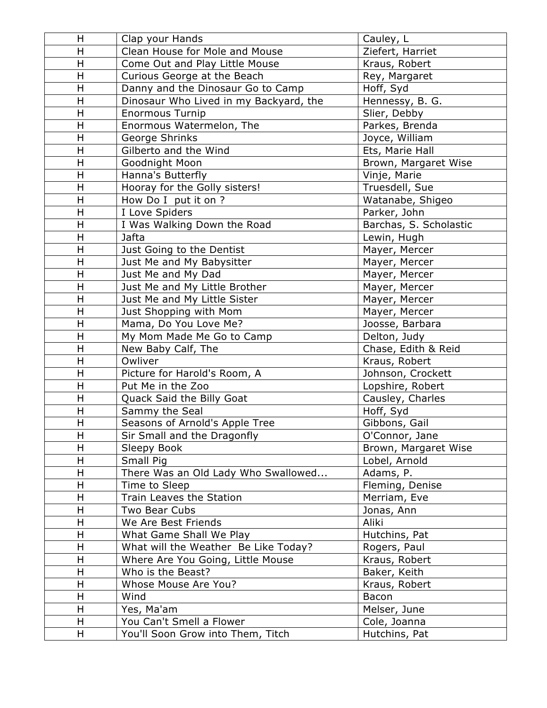| H                       | Clap your Hands                        | Cauley, L              |
|-------------------------|----------------------------------------|------------------------|
| H                       | Clean House for Mole and Mouse         | Ziefert, Harriet       |
| H                       | Come Out and Play Little Mouse         | Kraus, Robert          |
| $\mathsf{H}$            | Curious George at the Beach            | Rey, Margaret          |
| H                       | Danny and the Dinosaur Go to Camp      | Hoff, Syd              |
| H                       | Dinosaur Who Lived in my Backyard, the | Hennessy, B. G.        |
| H                       | <b>Enormous Turnip</b>                 | Slier, Debby           |
| H                       | Enormous Watermelon, The               | Parkes, Brenda         |
| $\overline{\mathsf{H}}$ | George Shrinks                         | Joyce, William         |
| H                       | Gilberto and the Wind                  | Ets, Marie Hall        |
| $\overline{\mathsf{H}}$ | Goodnight Moon                         | Brown, Margaret Wise   |
| H                       | Hanna's Butterfly                      | Vinje, Marie           |
| H                       | Hooray for the Golly sisters!          | Truesdell, Sue         |
| H                       | How Do I put it on ?                   | Watanabe, Shigeo       |
| H                       | I Love Spiders                         | Parker, John           |
| $\mathsf{H}$            | I Was Walking Down the Road            | Barchas, S. Scholastic |
| $\overline{\mathsf{H}}$ | Jafta                                  | Lewin, Hugh            |
| H                       | Just Going to the Dentist              | Mayer, Mercer          |
| $\overline{\mathsf{H}}$ | Just Me and My Babysitter              | Mayer, Mercer          |
| $\mathsf{H}$            | Just Me and My Dad                     | Mayer, Mercer          |
| H                       | Just Me and My Little Brother          | Mayer, Mercer          |
| H                       | Just Me and My Little Sister           | Mayer, Mercer          |
| H                       | Just Shopping with Mom                 | Mayer, Mercer          |
| H                       | Mama, Do You Love Me?                  | Joosse, Barbara        |
| H                       | My Mom Made Me Go to Camp              | Delton, Judy           |
| H                       | New Baby Calf, The                     | Chase, Edith & Reid    |
| H                       | Owliver                                | Kraus, Robert          |
| H                       | Picture for Harold's Room, A           | Johnson, Crockett      |
| H                       | Put Me in the Zoo                      | Lopshire, Robert       |
| $\mathsf{H}$            | Quack Said the Billy Goat              | Causley, Charles       |
| $\mathsf{H}$            | Sammy the Seal                         | Hoff, Syd              |
| $\mathsf{H}$            | Seasons of Arnold's Apple Tree         | Gibbons, Gail          |
| $\mathsf{H}$            | Sir Small and the Dragonfly            | O'Connor, Jane         |
| Η                       | Sleepy Book                            | Brown, Margaret Wise   |
| H                       | Small Pig                              | Lobel, Arnold          |
| H                       | There Was an Old Lady Who Swallowed    | Adams, P.              |
| H                       | Time to Sleep                          | Fleming, Denise        |
| H                       | Train Leaves the Station               | Merriam, Eve           |
| H                       | Two Bear Cubs                          | Jonas, Ann             |
| H                       | We Are Best Friends                    | Aliki                  |
| H                       | What Game Shall We Play                | Hutchins, Pat          |
| H                       | What will the Weather Be Like Today?   | Rogers, Paul           |
| H                       | Where Are You Going, Little Mouse      | Kraus, Robert          |
| H                       | Who is the Beast?                      | Baker, Keith           |
| H                       | Whose Mouse Are You?                   | Kraus, Robert          |
| $\mathsf{H}$            | Wind                                   | Bacon                  |
| Н                       | Yes, Ma'am                             | Melser, June           |
| H                       | You Can't Smell a Flower               | Cole, Joanna           |
| H                       | You'll Soon Grow into Them, Titch      | Hutchins, Pat          |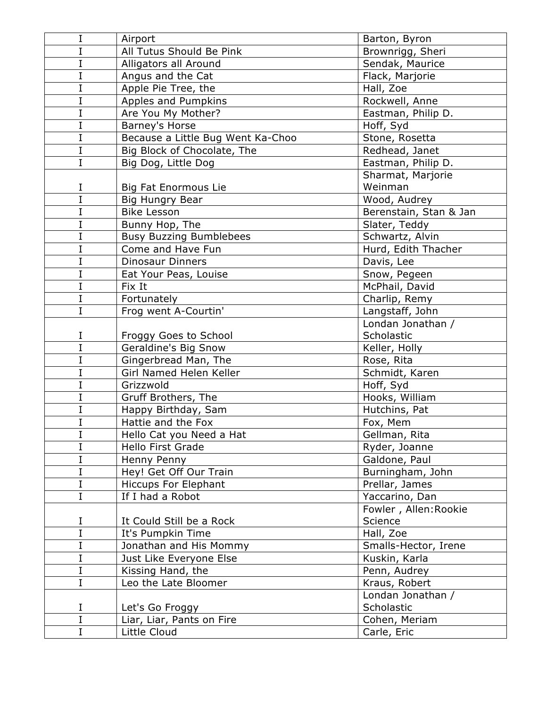| I           | Airport                           | Barton, Byron          |
|-------------|-----------------------------------|------------------------|
| I           | All Tutus Should Be Pink          | Brownrigg, Sheri       |
| I           | Alligators all Around             | Sendak, Maurice        |
| I           | Angus and the Cat                 | Flack, Marjorie        |
| I           | Apple Pie Tree, the               | Hall, Zoe              |
| I           | Apples and Pumpkins               | Rockwell, Anne         |
| I           | Are You My Mother?                | Eastman, Philip D.     |
| I           | Barney's Horse                    | Hoff, Syd              |
| I           | Because a Little Bug Went Ka-Choo | Stone, Rosetta         |
| I           | Big Block of Chocolate, The       | Redhead, Janet         |
| I           | Big Dog, Little Dog               | Eastman, Philip D.     |
|             |                                   | Sharmat, Marjorie      |
| I           | <b>Big Fat Enormous Lie</b>       | Weinman                |
| Ī           | Big Hungry Bear                   | Wood, Audrey           |
| I           | <b>Bike Lesson</b>                | Berenstain, Stan & Jan |
| I           | Bunny Hop, The                    | Slater, Teddy          |
| I           | <b>Busy Buzzing Bumblebees</b>    | Schwartz, Alvin        |
| I           | Come and Have Fun                 | Hurd, Edith Thacher    |
| I           | <b>Dinosaur Dinners</b>           | Davis, Lee             |
| I           | Eat Your Peas, Louise             | Snow, Pegeen           |
| I           | Fix It                            | McPhail, David         |
| I           | Fortunately                       | Charlip, Remy          |
| I           | Frog went A-Courtin'              | Langstaff, John        |
|             |                                   | Londan Jonathan /      |
| Ι           | Froggy Goes to School             | Scholastic             |
| I           | Geraldine's Big Snow              | Keller, Holly          |
| I           | Gingerbread Man, The              | Rose, Rita             |
| I           | Girl Named Helen Keller           | Schmidt, Karen         |
| I           | Grizzwold                         | Hoff, Syd              |
| I           | Gruff Brothers, The               | Hooks, William         |
| I           | Happy Birthday, Sam               | Hutchins, Pat          |
| I           | Hattie and the Fox                | Fox, Mem               |
| $\mathbf I$ | Hello Cat you Need a Hat          | Gellman, Rita          |
| I           | Hello First Grade                 | Ryder, Joanne          |
| I           | Henny Penny                       | Galdone, Paul          |
| I           | Hey! Get Off Our Train            | Burningham, John       |
| I           | <b>Hiccups For Elephant</b>       | Prellar, James         |
| I           | If I had a Robot                  | Yaccarino, Dan         |
|             |                                   | Fowler, Allen: Rookie  |
| I           | It Could Still be a Rock          | Science                |
| I           | It's Pumpkin Time                 | Hall, Zoe              |
| I           | Jonathan and His Mommy            | Smalls-Hector, Irene   |
| I           | Just Like Everyone Else           | Kuskin, Karla          |
| I           | Kissing Hand, the                 | Penn, Audrey           |
| I           | Leo the Late Bloomer              | Kraus, Robert          |
|             |                                   | Londan Jonathan /      |
| I           | Let's Go Froggy                   | Scholastic             |
| I           | Liar, Liar, Pants on Fire         | Cohen, Meriam          |
| I           | Little Cloud                      | Carle, Eric            |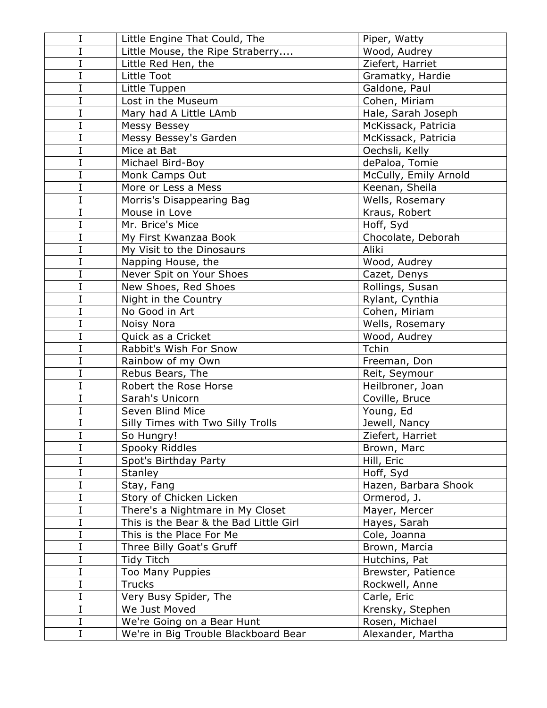| I       | Little Engine That Could, The          | Piper, Watty          |
|---------|----------------------------------------|-----------------------|
| I       | Little Mouse, the Ripe Straberry       | Wood, Audrey          |
| I       | Little Red Hen, the                    | Ziefert, Harriet      |
| I       | Little Toot                            | Gramatky, Hardie      |
| I       | Little Tuppen                          | Galdone, Paul         |
| I       | Lost in the Museum                     | Cohen, Miriam         |
| I       | Mary had A Little LAmb                 | Hale, Sarah Joseph    |
| I       | Messy Bessey                           | McKissack, Patricia   |
| I       | Messy Bessey's Garden                  | McKissack, Patricia   |
| I       | Mice at Bat                            | Oechsli, Kelly        |
| I       | Michael Bird-Boy                       | dePaloa, Tomie        |
| I       | Monk Camps Out                         | McCully, Emily Arnold |
| I       | More or Less a Mess                    | Keenan, Sheila        |
| I       | Morris's Disappearing Bag              | Wells, Rosemary       |
| I       | Mouse in Love                          | Kraus, Robert         |
| I       | Mr. Brice's Mice                       | Hoff, Syd             |
| I       | My First Kwanzaa Book                  | Chocolate, Deborah    |
| I       | My Visit to the Dinosaurs              | Aliki                 |
| I       | Napping House, the                     | Wood, Audrey          |
| I       | Never Spit on Your Shoes               | Cazet, Denys          |
| I       | New Shoes, Red Shoes                   | Rollings, Susan       |
| I       | Night in the Country                   | Rylant, Cynthia       |
| I       | No Good in Art                         | Cohen, Miriam         |
| I       | Noisy Nora                             | Wells, Rosemary       |
| I       | Quick as a Cricket                     | Wood, Audrey          |
| I       | Rabbit's Wish For Snow                 | Tchin                 |
| I       | Rainbow of my Own                      | Freeman, Don          |
| I       | Rebus Bears, The                       | Reit, Seymour         |
| I       | Robert the Rose Horse                  | Heilbroner, Joan      |
| I       | Sarah's Unicorn                        | Coville, Bruce        |
| I       | Seven Blind Mice                       | Young, Ed             |
| I       | Silly Times with Two Silly Trolls      | Jewell, Nancy         |
| $\rm I$ | So Hungry!                             | Ziefert, Harriet      |
| I       | Spooky Riddles                         | Brown, Marc           |
| I       | Spot's Birthday Party                  | Hill, Eric            |
| I       | <b>Stanley</b>                         | Hoff, Syd             |
| I       | Stay, Fang                             | Hazen, Barbara Shook  |
| I       | Story of Chicken Licken                | Ormerod, J.           |
| I       | There's a Nightmare in My Closet       | Mayer, Mercer         |
| I       | This is the Bear & the Bad Little Girl | Hayes, Sarah          |
| I       | This is the Place For Me               | Cole, Joanna          |
| I       | Three Billy Goat's Gruff               | Brown, Marcia         |
| I       | Tidy Titch                             | Hutchins, Pat         |
| I       | <b>Too Many Puppies</b>                | Brewster, Patience    |
| I       | <b>Trucks</b>                          | Rockwell, Anne        |
| I       | Very Busy Spider, The                  | Carle, Eric           |
| I       | We Just Moved                          | Krensky, Stephen      |
| I       | We're Going on a Bear Hunt             | Rosen, Michael        |
| I       | We're in Big Trouble Blackboard Bear   | Alexander, Martha     |